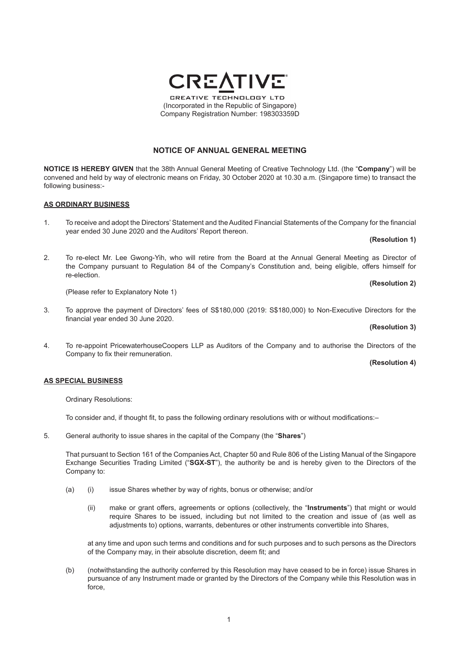# **NOTICE OF ANNUAL GENERAL MEETING**

**NOTICE IS HEREBY GIVEN** that the 38th Annual General Meeting of Creative Technology Ltd. (the "**Company**") will be convened and held by way of electronic means on Friday, 30 October 2020 at 10.30 a.m. (Singapore time) to transact the following business:-

### **AS ORDINARY BUSINESS**

1. To receive and adopt the Directors' Statement and the Audited Financial Statements of the Company for the financial year ended 30 June 2020 and the Auditors' Report thereon.

#### **(Resolution 1)**

2. To re-elect Mr. Lee Gwong-Yih, who will retire from the Board at the Annual General Meeting as Director of the Company pursuant to Regulation 84 of the Company's Constitution and, being eligible, offers himself for re-election.

(Please refer to Explanatory Note 1)

3. To approve the payment of Directors' fees of S\$180,000 (2019: S\$180,000) to Non-Executive Directors for the financial year ended 30 June 2020.

#### **(Resolution 3)**

4. To re-appoint PricewaterhouseCoopers LLP as Auditors of the Company and to authorise the Directors of the Company to fix their remuneration.

### **(Resolution 4)**

### **AS SPECIAL BUSINESS**

Ordinary Resolutions:

 To consider and, if thought fit, to pass the following ordinary resolutions with or without modifications:–

5. General authority to issue shares in the capital of the Company (the "**Shares**")

That pursuant to Section 161 of the Companies Act, Chapter 50 and Rule 806 of the Listing Manual of the Singapore Exchange Securities Trading Limited ("**SGX-ST**"), the authority be and is hereby given to the Directors of the Company to:

- (a) (i) issue Shares whether by way of rights, bonus or otherwise; and/or
	- (ii) make or grant offers, agreements or options (collectively, the "**Instruments**") that might or would require Shares to be issued, including but not limited to the creation and issue of (as well as adjustments to) options, warrants, debentures or other instruments convertible into Shares,

 at any time and upon such terms and conditions and for such purposes and to such persons as the Directors of the Company may, in their absolute discretion, deem fit; and

(b) (notwithstanding the authority conferred by this Resolution may have ceased to be in force) issue Shares in pursuance of any Instrument made or granted by the Directors of the Company while this Resolution was in force,



**(Resolution 2)**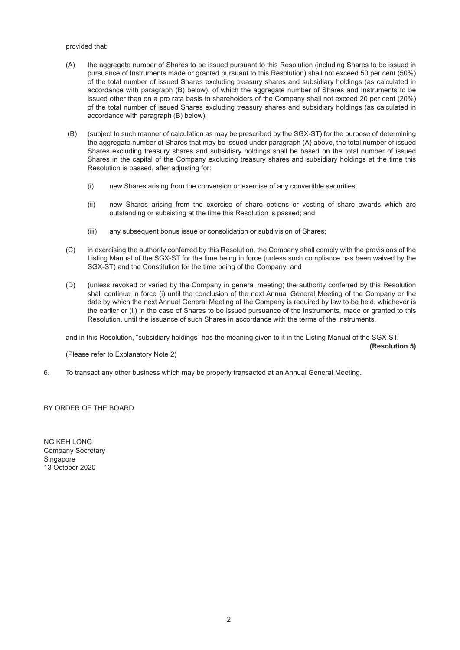## provided that:

- (A) the aggregate number of Shares to be issued pursuant to this Resolution (including Shares to be issued in pursuance of Instruments made or granted pursuant to this Resolution) shall not exceed 50 per cent (50%) of the total number of issued Shares excluding treasury shares and subsidiary holdings (as calculated in accordance with paragraph (B) below), of which the aggregate number of Shares and Instruments to be issued other than on a pro rata basis to shareholders of the Company shall not exceed 20 per cent (20%) of the total number of issued Shares excluding treasury shares and subsidiary holdings (as calculated in accordance with paragraph (B) below);
- (B) (subject to such manner of calculation as may be prescribed by the SGX-ST) for the purpose of determining the aggregate number of Shares that may be issued under paragraph (A) above, the total number of issued Shares excluding treasury shares and subsidiary holdings shall be based on the total number of issued Shares in the capital of the Company excluding treasury shares and subsidiary holdings at the time this Resolution is passed, after adjusting for:
	- (i) new Shares arising from the conversion or exercise of any convertible securities;
	- (ii) new Shares arising from the exercise of share options or vesting of share awards which are outstanding or subsisting at the time this Resolution is passed; and
	- (iii) any subsequent bonus issue or consolidation or subdivision of Shares;
- (C) in exercising the authority conferred by this Resolution, the Company shall comply with the provisions of the Listing Manual of the SGX-ST for the time being in force (unless such compliance has been waived by the SGX-ST) and the Constitution for the time being of the Company; and
- (D) (unless revoked or varied by the Company in general meeting) the authority conferred by this Resolution shall continue in force (i) until the conclusion of the next Annual General Meeting of the Company or the date by which the next Annual General Meeting of the Company is required by law to be held, whichever is the earlier or (ii) in the case of Shares to be issued pursuance of the Instruments, made or granted to this Resolution, until the issuance of such Shares in accordance with the terms of the Instruments,

and in this Resolution, "subsidiary holdings" has the meaning given to it in the Listing Manual of the SGX-ST.

 **(Resolution 5)**

(Please refer to Explanatory Note 2)

6. To transact any other business which may be properly transacted at an Annual General Meeting.

BY ORDER OF THE BOARD

NG KEH LONG Company Secretary **Singapore** 13 October 2020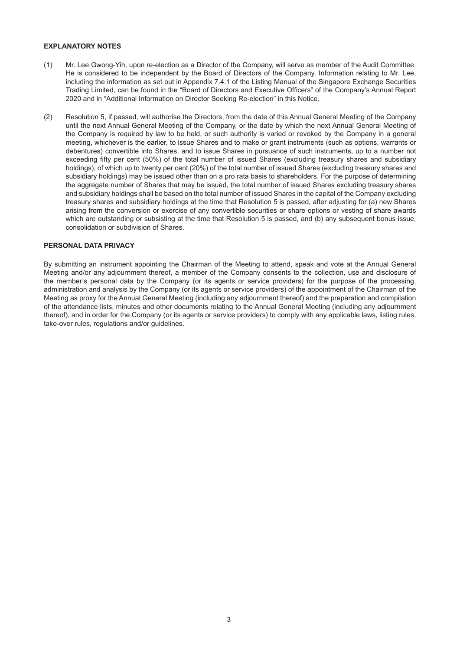## **EXPLANATORY NOTES**

- (1) Mr. Lee Gwong-Yih, upon re-election as a Director of the Company, will serve as member of the Audit Committee. He is considered to be independent by the Board of Directors of the Company. Information relating to Mr. Lee, including the information as set out in Appendix 7.4.1 of the Listing Manual of the Singapore Exchange Securities Trading Limited, can be found in the "Board of Directors and Executive Officers" of the Company's Annual Report 2020 and in "Additional Information on Director Seeking Re-election" in this Notice.
- (2) Resolution 5, if passed, will authorise the Directors, from the date of this Annual General Meeting of the Company until the next Annual General Meeting of the Company, or the date by which the next Annual General Meeting of the Company is required by law to be held, or such authority is varied or revoked by the Company in a general meeting, whichever is the earlier, to issue Shares and to make or grant instruments (such as options, warrants or debentures) convertible into Shares, and to issue Shares in pursuance of such instruments, up to a number not exceeding fifty per cent (50%) of the total number of issued Shares (excluding treasury shares and subsidiary holdings), of which up to twenty per cent (20%) of the total number of issued Shares (excluding treasury shares and subsidiary holdings) may be issued other than on a pro rata basis to shareholders. For the purpose of determining the aggregate number of Shares that may be issued, the total number of issued Shares excluding treasury shares and subsidiary holdings shall be based on the total number of issued Shares in the capital of the Company excluding treasury shares and subsidiary holdings at the time that Resolution 5 is passed, after adjusting for (a) new Shares arising from the conversion or exercise of any convertible securities or share options or vesting of share awards which are outstanding or subsisting at the time that Resolution 5 is passed, and (b) any subsequent bonus issue, consolidation or subdivision of Shares.

## **PERSONAL DATA PRIVACY**

By submitting an instrument appointing the Chairman of the Meeting to attend, speak and vote at the Annual General Meeting and/or any adjournment thereof, a member of the Company consents to the collection, use and disclosure of the member's personal data by the Company (or its agents or service providers) for the purpose of the processing, administration and analysis by the Company (or its agents or service providers) of the appointment of the Chairman of the Meeting as proxy for the Annual General Meeting (including any adjournment thereof) and the preparation and compilation of the attendance lists, minutes and other documents relating to the Annual General Meeting (including any adjournment thereof), and in order for the Company (or its agents or service providers) to comply with any applicable laws, listing rules, take-over rules, regulations and/or guidelines.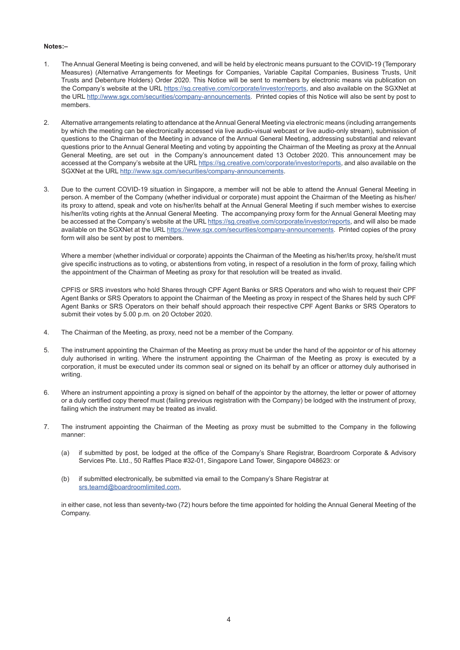### **Notes:–**

- 1. The Annual General Meeting is being convened, and will be held by electronic means pursuant to the COVID-19 (Temporary Measures) (Alternative Arrangements for Meetings for Companies, Variable Capital Companies, Business Trusts, Unit Trusts and Debenture Holders) Order 2020. This Notice will be sent to members by electronic means via publication on the Company's website at the URL https://sq.creative.com/corporate/investor/reports, and also available on the SGXNet at the URL http://www.sgx.com/securities/company-announcements. Printed copies of this Notice will also be sent by post to members.
- 2. Alternative arrangements relating to attendance at the Annual General Meeting via electronic means (including arrangements by which the meeting can be electronically accessed via live audio-visual webcast or live audio-only stream), submission of questions to the Chairman of the Meeting in advance of the Annual General Meeting, addressing substantial and relevant questions prior to the Annual General Meeting and voting by appointing the Chairman of the Meeting as proxy at the Annual General Meeting, are set out in the Company's announcement dated 13 October 2020. This announcement may be accessed at the Company's website at the URL https://sg.creative.com/corporate/investor/reports, and also available on the SGXNet at the URL http://www.sgx.com/securities/company-announcements.
- 3. Due to the current COVID-19 situation in Singapore, a member will not be able to attend the Annual General Meeting in person. A member of the Company (whether individual or corporate) must appoint the Chairman of the Meeting as his/her/ its proxy to attend, speak and vote on his/her/its behalf at the Annual General Meeting if such member wishes to exercise his/her/its voting rights at the Annual General Meeting. The accompanying proxy form for the Annual General Meeting may be accessed at the Company's website at the URL https://sg.creative.com/corporate/investor/reports, and will also be made available on the SGXNet at the URL https://www.sgx.com/securities/company-announcements. Printed copies of the proxy form will also be sent by post to members.

Where a member (whether individual or corporate) appoints the Chairman of the Meeting as his/her/its proxy, he/she/it must give specific instructions as to voting, or abstentions from voting, in respect of a resolution in the form of proxy, failing which the appointment of the Chairman of Meeting as proxy for that resolution will be treated as invalid.

CPFIS or SRS investors who hold Shares through CPF Agent Banks or SRS Operators and who wish to request their CPF Agent Banks or SRS Operators to appoint the Chairman of the Meeting as proxy in respect of the Shares held by such CPF Agent Banks or SRS Operators on their behalf should approach their respective CPF Agent Banks or SRS Operators to submit their votes by 5.00 p.m. on 20 October 2020.

- 4. The Chairman of the Meeting, as proxy, need not be a member of the Company.
- 5. The instrument appointing the Chairman of the Meeting as proxy must be under the hand of the appointor or of his attorney duly authorised in writing. Where the instrument appointing the Chairman of the Meeting as proxy is executed by a corporation, it must be executed under its common seal or signed on its behalf by an officer or attorney duly authorised in writing.
- 6. Where an instrument appointing a proxy is signed on behalf of the appointor by the attorney, the letter or power of attorney or a duly certified copy thereof must (failing previous registration with the Company) be lodged with the instrument of proxy, failing which the instrument may be treated as invalid.
- 7. The instrument appointing the Chairman of the Meeting as proxy must be submitted to the Company in the following manner:
	- (a) if submitted by post, be lodged at the office of the Company's Share Registrar, Boardroom Corporate & Advisory Services Pte. Ltd., 50 Raffles Place #32-01, Singapore Land Tower, Singapore 048623: or
	- (b) if submitted electronically, be submitted via email to the Company's Share Registrar at srs.teamd@boardroomlimited.com,

in either case, not less than seventy-two (72) hours before the time appointed for holding the Annual General Meeting of the Company.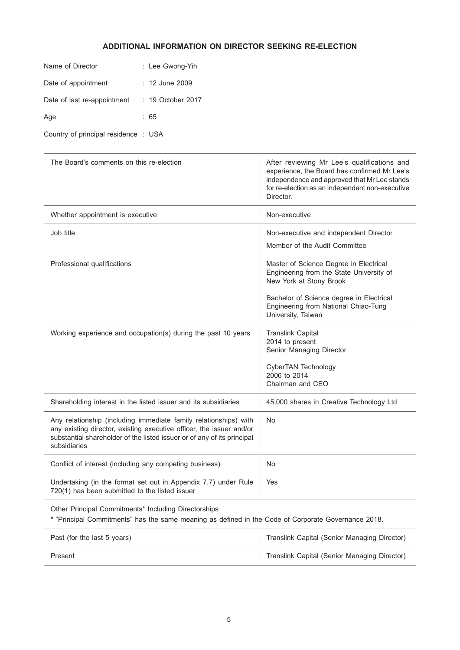# **ADDITIONAL INFORMATION ON DIRECTOR SEEKING RE-ELECTION**

| Name of Director            | : Lee Gwong-Yih   |  |
|-----------------------------|-------------------|--|
| Date of appointment         | : 12 June 2009    |  |
| Date of last re-appointment | : 19 October 2017 |  |
| Age                         | : 65              |  |
|                             |                   |  |

Country of principal residence : USA

| The Board's comments on this re-election                                                                                                                                                                                            | After reviewing Mr Lee's qualifications and<br>experience, the Board has confirmed Mr Lee's<br>independence and approved that Mr Lee stands<br>for re-election as an independent non-executive<br>Director. |  |  |  |
|-------------------------------------------------------------------------------------------------------------------------------------------------------------------------------------------------------------------------------------|-------------------------------------------------------------------------------------------------------------------------------------------------------------------------------------------------------------|--|--|--|
| Whether appointment is executive                                                                                                                                                                                                    | Non-executive                                                                                                                                                                                               |  |  |  |
| Job title                                                                                                                                                                                                                           | Non-executive and independent Director<br>Member of the Audit Committee                                                                                                                                     |  |  |  |
| Professional qualifications                                                                                                                                                                                                         | Master of Science Degree in Electrical<br>Engineering from the State University of<br>New York at Stony Brook                                                                                               |  |  |  |
|                                                                                                                                                                                                                                     | Bachelor of Science degree in Electrical<br>Engineering from National Chiao-Tung<br>University, Taiwan                                                                                                      |  |  |  |
| Working experience and occupation(s) during the past 10 years                                                                                                                                                                       | <b>Translink Capital</b><br>2014 to present<br>Senior Managing Director                                                                                                                                     |  |  |  |
|                                                                                                                                                                                                                                     | CyberTAN Technology<br>2006 to 2014<br>Chairman and CEO                                                                                                                                                     |  |  |  |
| Shareholding interest in the listed issuer and its subsidiaries                                                                                                                                                                     | 45,000 shares in Creative Technology Ltd                                                                                                                                                                    |  |  |  |
| Any relationship (including immediate family relationships) with<br>any existing director, existing executive officer, the issuer and/or<br>substantial shareholder of the listed issuer or of any of its principal<br>subsidiaries | No                                                                                                                                                                                                          |  |  |  |
| Conflict of interest (including any competing business)                                                                                                                                                                             | No.                                                                                                                                                                                                         |  |  |  |
| Undertaking (in the format set out in Appendix 7.7) under Rule<br>720(1) has been submitted to the listed issuer                                                                                                                    | Yes                                                                                                                                                                                                         |  |  |  |
| Other Principal Commitments* Including Directorships<br>"Principal Commitments" has the same meaning as defined in the Code of Corporate Governance 2018.                                                                           |                                                                                                                                                                                                             |  |  |  |
| Past (for the last 5 years)                                                                                                                                                                                                         | Translink Capital (Senior Managing Director)                                                                                                                                                                |  |  |  |
| Present                                                                                                                                                                                                                             | Translink Capital (Senior Managing Director)                                                                                                                                                                |  |  |  |